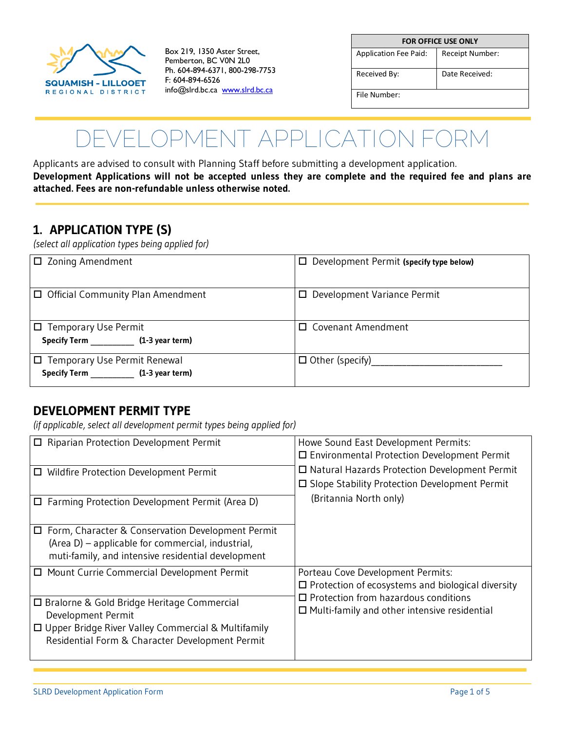

Box 219, 1350 Aster Street, Pemberton, BC V0N 2L0 Ph. 604-894-6371, 800-298-7753 F: 604-894-6526 info@slrd.bc.ca [www.slrd.bc.ca](http://www.slrd.bc.ca/)

| <b>FOR OFFICE USE ONLY</b>   |                 |  |  |
|------------------------------|-----------------|--|--|
| <b>Application Fee Paid:</b> | Receipt Number: |  |  |
| Received By:                 | Date Received:  |  |  |
| File Number:                 |                 |  |  |

# **DEVELOPMENT APPLICATION FORM**

Applicants are advised to consult with Planning Staff before submitting a development application. **Development Applications will not be accepted unless they are complete and the required fee and plans are attached. Fees are non-refundable unless otherwise noted.** 

#### **1. APPLICATION TYPE (S)**

*(select all application types being applied for)*

| $\square$ Zoning Amendment                                     | $\Box$ Development Permit (specify type below) |  |
|----------------------------------------------------------------|------------------------------------------------|--|
| $\Box$ Official Community Plan Amendment                       | Development Variance Permit<br>□               |  |
| $\Box$ Temporary Use Permit                                    | <b>Covenant Amendment</b>                      |  |
| Specify Term (1-3 year term)                                   |                                                |  |
| □ Temporary Use Permit Renewal<br>Specify Term (1-3 year term) | $\Box$ Other (specify)                         |  |

#### **DEVELOPMENT PERMIT TYPE**

*(if applicable, select all development permit types being applied for)*

| Riparian Protection Development Permit                                                                                                                                 | Howe Sound East Development Permits:<br>□ Environmental Protection Development Permit                                                                                                                  |  |
|------------------------------------------------------------------------------------------------------------------------------------------------------------------------|--------------------------------------------------------------------------------------------------------------------------------------------------------------------------------------------------------|--|
| □ Wildfire Protection Development Permit                                                                                                                               | □ Natural Hazards Protection Development Permit<br>□ Slope Stability Protection Development Permit                                                                                                     |  |
| $\Box$ Farming Protection Development Permit (Area D)                                                                                                                  | (Britannia North only)                                                                                                                                                                                 |  |
| Form, Character & Conservation Development Permit<br>$\Box$<br>(Area D) - applicable for commercial, industrial,<br>muti-family, and intensive residential development |                                                                                                                                                                                                        |  |
| □ Mount Currie Commercial Development Permit                                                                                                                           | Porteau Cove Development Permits:<br>$\square$ Protection of ecosystems and biological diversity<br>$\Box$ Protection from hazardous conditions<br>$\Box$ Multi-family and other intensive residential |  |
| □ Bralorne & Gold Bridge Heritage Commercial<br>Development Permit                                                                                                     |                                                                                                                                                                                                        |  |
| $\Box$ Upper Bridge River Valley Commercial & Multifamily<br>Residential Form & Character Development Permit                                                           |                                                                                                                                                                                                        |  |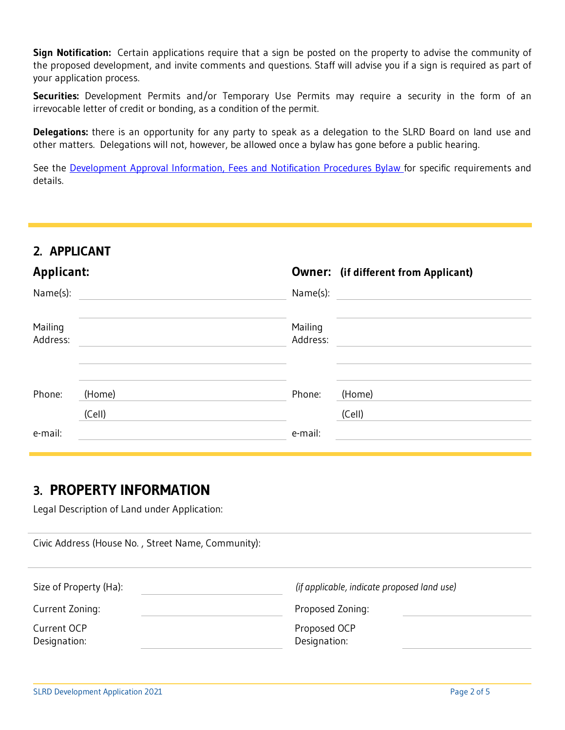**Sign Notification:** Certain applications require that a sign be posted on the property to advise the community of the proposed development, and invite comments and questions. Staff will advise you if a sign is required as part of your application process.

**Securities:** Development Permits and/or Temporary Use Permits may require a security in the form of an irrevocable letter of credit or bonding, as a condition of the permit.

**Delegations:** there is an opportunity for any party to speak as a delegation to the SLRD Board on land use and other matters. Delegations will not, however, be allowed once a bylaw has gone before a public hearing.

See the [Development Approval Information, Fees and Notification Procedures Bylaw f](https://www.slrd.bc.ca/inside-slrd/bylaws/development-approval-information-fees-and-notification-procedures)or specific requirements and details.

#### **2. APPLICANT**

| <b>Applicant:</b>   |                  |                     | <b>Owner:</b> (if different from Applicant) |
|---------------------|------------------|---------------------|---------------------------------------------|
| Name(s):            |                  | Name(s):            |                                             |
| Mailing<br>Address: |                  | Mailing<br>Address: |                                             |
| Phone:              | (Home)<br>(Cell) | Phone:              | (Home)<br>(Cell)                            |
| e-mail:             |                  | e-mail:             |                                             |

#### **3. PROPERTY INFORMATION**

Legal Description of Land under Application:

| Civic Address (House No., Street Name, Community): |                                             |
|----------------------------------------------------|---------------------------------------------|
| Size of Property (Ha):                             | (if applicable, indicate proposed land use) |
| Current Zoning:                                    | Proposed Zoning:                            |
| Current OCP<br>Designation:                        | Proposed OCP<br>Designation:                |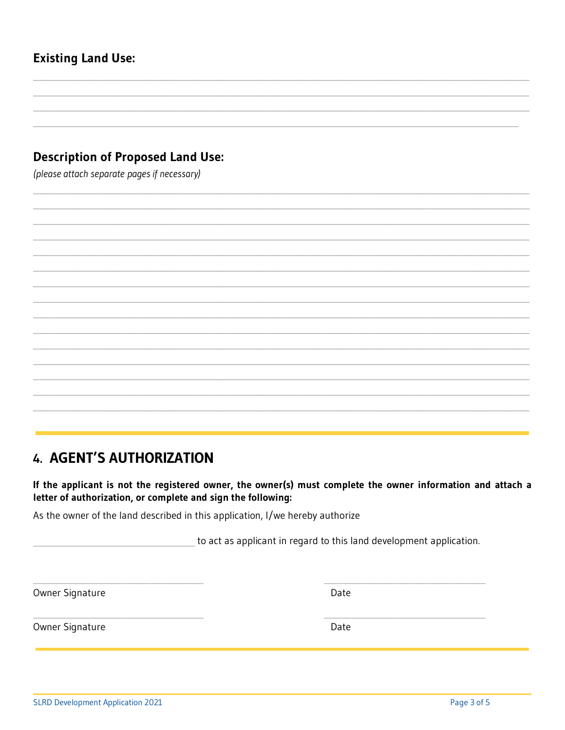**SLRD Development Application 2021** 

## **Existing Land Use:**

#### **Description of Proposed Land Use:**

(please attach separate pages if necessary)

## **4. AGENT'S AUTHORIZATION**

If the applicant is not the registered owner, the owner(s) must complete the owner information and attach a letter of authorization, or complete and sign the following:

As the owner of the land described in this application, I/we hereby authorize

to act as applicant in regard to this land development application.

Owner Signature

Owner Signature

Date

Date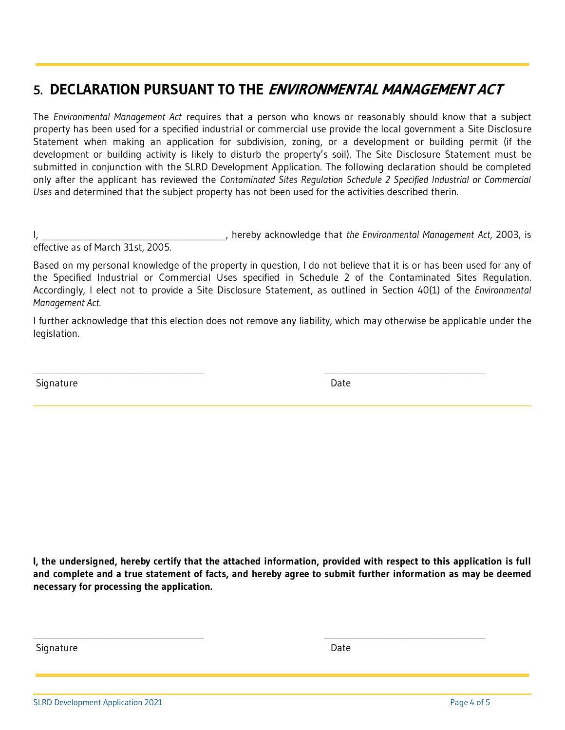## **5. DECLARATION PURSUANT TO THE ENVIRONMENTAL MANAGEMENT ACT**

The *Environmental Management Act* requires that a person who knows or reasonably should know that a subject property has been used for a specified industrial or commercial use provide the local government a Site Disclosure Statement when making an application for subdivision, zoning, or a development or building permit (if the development or building activity is likely to disturb the property's soil). The Site Disclosure Statement must be submitted in conjunction with the SLRD Development Application. The following declaration should be completed only after the applicant has reviewed the *Contaminated Sites Regulation Schedule 2 Specified Industrial or Commercial Uses* and determined that the subject property has not been used for the activities described therin.

I, **I, communist and the Environmental Management Act, 2003, is** and the Environmental Management Act, 2003, is effective as of March 31st, 2005.

Based on my personal knowledge of the property in question, I do not believe that it is or has been used for any of the Specified Industrial or Commercial Uses specified in Schedule 2 of the Contaminated Sites Regulation. Accordingly, I elect not to provide a Site Disclosure Statement, as outlined in Section 40(1) of the *Environmental Management Act.*

I further acknowledge that this election does not remove any liability, which may otherwise be applicable under the legislation.

 $\_$  , and the contribution of the contribution of  $\mathcal{L}_\mathcal{A}$  , and the contribution of  $\mathcal{L}_\mathcal{A}$ 

Signature Date Date Date Communications and the Date Date Date

**I, the undersigned, hereby certify that the attached information, provided with respect to this application is full and complete and a true statement of facts, and hereby agree to submit further information as may be deemed necessary for processing the application.** 

 $\_$  , and the set of the set of the set of the set of the set of the set of the set of the set of the set of the set of the set of the set of the set of the set of the set of the set of the set of the set of the set of th

Signature Date Date Communications and the Date Date Date